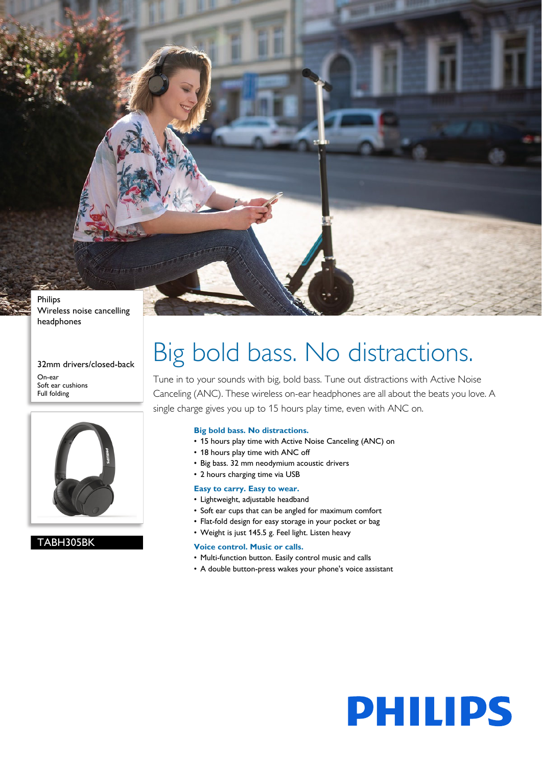Philips Wireless noise cancelling headphones

32mm drivers/closed-back

On-ear Soft ear cushions Full folding



### TABH305BK

# Big bold bass. No distractions.

Tune in to your sounds with big, bold bass. Tune out distractions with Active Noise Canceling (ANC). These wireless on-ear headphones are all about the beats you love. A single charge gives you up to 15 hours play time, even with ANC on.

#### **Big bold bass. No distractions.**

- 15 hours play time with Active Noise Canceling (ANC) on
- 18 hours play time with ANC off
- Big bass. 32 mm neodymium acoustic drivers
- 2 hours charging time via USB

#### **Easy to carry. Easy to wear.**

- Lightweight, adjustable headband
- Soft ear cups that can be angled for maximum comfort
- Flat-fold design for easy storage in your pocket or bag
- Weight is just 145.5 g. Feel light. Listen heavy

#### **Voice control. Music or calls.**

- Multi-function button. Easily control music and calls
- A double button-press wakes your phone's voice assistant